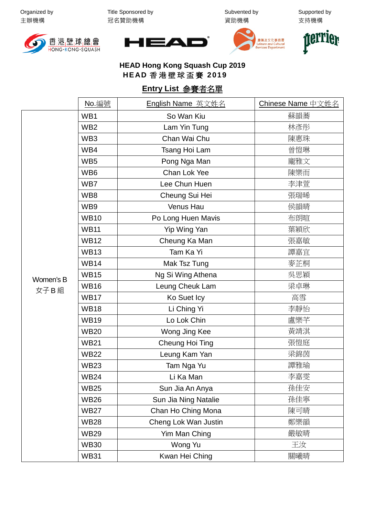Organized by 主辦機構

Title Sponsored by 冠名贊助機構

Subvented by 資助機構

Supported by 支持機構









**HEAD Hong Kong Squash Cup 2019 HEAD** 香港壁球盃賽 **2019**

## **Entry List** 參賽者名單

|                   | <u>No. 編號</u>   | English Name 英文姓名    | Chinese Name 中文姓名 |
|-------------------|-----------------|----------------------|-------------------|
| Women's B<br>女子B組 | WB1             | So Wan Kiu           | 蘇韻蕎               |
|                   | WB <sub>2</sub> | Lam Yin Tung         | 林彥彤               |
|                   | WB <sub>3</sub> | Chan Wai Chu         | 陳惠珠               |
|                   | WB4             | Tsang Hoi Lam        | 曾愷琳               |
|                   | WB <sub>5</sub> | Pong Nga Man         | 龐雅文               |
|                   | WB <sub>6</sub> | Chan Lok Yee         | 陳樂而               |
|                   | WB7             | Lee Chun Huen        | 李津萱               |
|                   | WB8             | Cheung Sui Hei       | 張瑞晞               |
|                   | WB9             | Venus Hau            | 侯韻晴               |
|                   | <b>WB10</b>     | Po Long Huen Mavis   | 布朗暄               |
|                   | <b>WB11</b>     | Yip Wing Yan         | 葉穎欣               |
|                   | <b>WB12</b>     | Cheung Ka Man        | 張嘉敏               |
|                   | <b>WB13</b>     | Tam Ka Yi            | 譚嘉宜               |
|                   | <b>WB14</b>     | Mak Tsz Tung         | 麥芷桐               |
|                   | <b>WB15</b>     | Ng Si Wing Athena    | 吳思穎               |
|                   | <b>WB16</b>     | Leung Cheuk Lam      | 梁卓琳               |
|                   | <b>WB17</b>     | Ko Suet Icy          | 高雪                |
|                   | <b>WB18</b>     | Li Ching Yi          | 李靜怡               |
|                   | <b>WB19</b>     | Lo Lok Chin          | 盧樂芊               |
|                   | <b>WB20</b>     | Wong Jing Kee        | 黃靖淇               |
|                   | <b>WB21</b>     | Cheung Hoi Ting      | 張愷庭               |
|                   | <b>WB22</b>     | Leung Kam Yan        | 梁錦茵               |
|                   | <b>WB23</b>     | Tam Nga Yu           | 譚雅瑜               |
|                   | WB24            | Li Ka Man            | 李嘉雯               |
|                   | <b>WB25</b>     | Sun Jia An Anya      | 孫佳安               |
|                   | <b>WB26</b>     | Sun Jia Ning Natalie | 孫佳寧               |
|                   | <b>WB27</b>     | Chan Ho Ching Mona   | 陳可晴               |
|                   | <b>WB28</b>     | Cheng Lok Wan Justin | 鄭樂韻               |
|                   | <b>WB29</b>     | Yim Man Ching        | 嚴敏晴               |
|                   | <b>WB30</b>     | Wong Yu              | 王汝                |
|                   | <b>WB31</b>     | Kwan Hei Ching       | 關曦晴               |